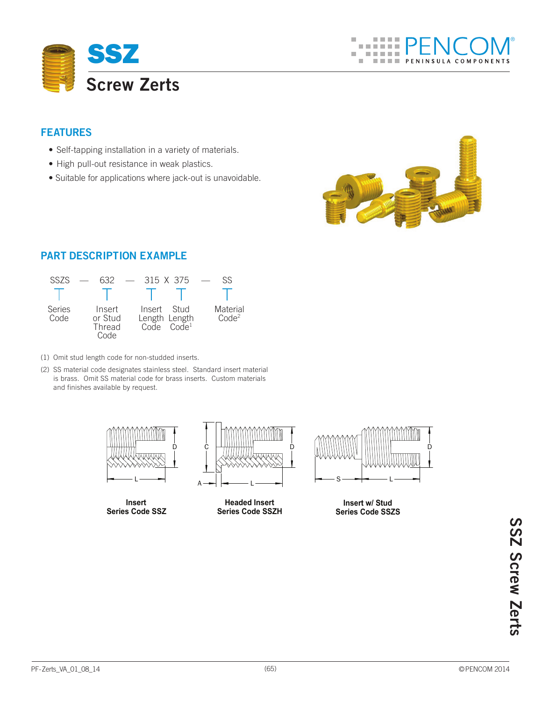

## **Features**

- Self-tapping installation in a variety of materials.
- High pull-out resistance in weak plastics.
- Suitable for applications where jack-out is unavoidable.



## **Part Description Example**



(1) Omit stud length code for non-studded inserts.

(2) SS material code designates stainless steel. Standard insert material is brass. Omit SS material code for brass inserts. Custom materials and finishes available by request.



**Insert Series Code SSZ**



**Insert w/ Stud Series Code SSZS**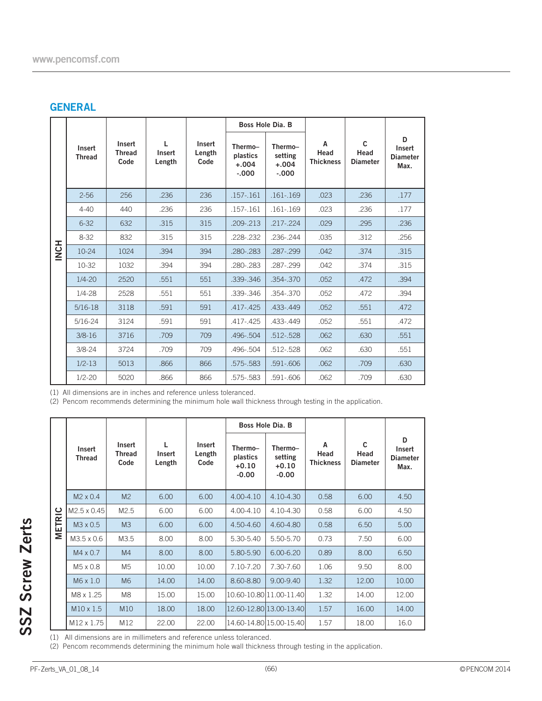## **GENERAL**

|                  |                                                                   |                                 |                       |                          |                                                                                                       | Boss Hole Dia. B                          |                               |                                         |                                        |  |
|------------------|-------------------------------------------------------------------|---------------------------------|-----------------------|--------------------------|-------------------------------------------------------------------------------------------------------|-------------------------------------------|-------------------------------|-----------------------------------------|----------------------------------------|--|
|                  | Insert<br><b>Thread</b>                                           | Insert<br><b>Thread</b><br>Code | L<br>Insert<br>Length | Insert<br>Length<br>Code | Thermo-<br>plastics<br>$+.004$<br>$-.000$                                                             | Thermo-<br>setting<br>$+.004$<br>$-0.000$ | A<br>Head<br><b>Thickness</b> | $\mathbf{C}$<br>Head<br><b>Diameter</b> | D<br>Insert<br><b>Diameter</b><br>Max. |  |
|                  | $2 - 56$                                                          | 256                             | .236                  | 236                      | .157-.161                                                                                             | .161-.169                                 | .023                          | .236                                    | .177                                   |  |
|                  | $4 - 40$                                                          | 440                             | .236                  | 236                      | .157-.161                                                                                             | $.161 - .169$                             | .023                          | .236                                    | .177                                   |  |
|                  | $6 - 32$                                                          | 632                             | .315                  | 315                      | .209-.213                                                                                             | $.217 - .224$                             | .029                          | .295                                    | .236                                   |  |
|                  | $8 - 32$                                                          | 832                             | .315                  | 315                      | .228-.232                                                                                             | .236-.244                                 | .035                          | .312                                    | .256                                   |  |
| H <sub>2</sub> N | $10 - 24$                                                         | 1024                            | .394                  | 394                      | .280-.283                                                                                             | .287-.299                                 | .042                          | .374                                    | .315                                   |  |
|                  | 10-32                                                             | 1032                            | .394                  | 394                      | .280-.283                                                                                             | .287-.299                                 | .042                          | .374                                    | .315                                   |  |
|                  | $1/4 - 20$                                                        | 2520                            | .551                  | 551                      | .339-.346                                                                                             | .354-.370                                 | .052                          | .472                                    | .394                                   |  |
|                  | $1/4 - 28$                                                        | 2528                            | .551                  | 551                      | .339-.346                                                                                             | .354-.370                                 | .052                          | .472                                    | .394                                   |  |
|                  | $5/16-18$                                                         | 3118                            | .591                  | 591                      | .417-.425                                                                                             | .433-.449                                 | .052                          | .551                                    | .472                                   |  |
|                  | $5/16 - 24$                                                       | 3124                            | .591                  | 591                      | .417-.425                                                                                             | .433-.449                                 | .052                          | .551                                    | .472                                   |  |
|                  | $3/8 - 16$                                                        | 3716                            | .709                  | 709                      | .496-.504                                                                                             | .512-.528                                 | .062                          | .630                                    | .551                                   |  |
|                  | $3/8 - 24$                                                        | 3724                            | .709                  | 709                      | .496-.504                                                                                             | .512-.528                                 | .062                          | .630                                    | .551                                   |  |
|                  | $1/2 - 13$                                                        | 5013                            | .866                  | 866                      | .575-.583                                                                                             | .591-.606                                 | .062                          | .709                                    | .630                                   |  |
|                  | $1/2 - 20$                                                        | 5020                            | .866                  | 866                      | .575-.583                                                                                             | .591-.606                                 | .062                          | .709                                    | .630                                   |  |
|                  | (1) All dimensions are in inches and reference unless toleranced. |                                 |                       |                          | (2) Pencom recommends determining the minimum hole wall thickness through testing in the application. |                                           |                               |                                         |                                        |  |

|               |                         |                                 |                       |                          | Boss Hole Dia. B                          |                                          |                               |                                         |                                        |  |
|---------------|-------------------------|---------------------------------|-----------------------|--------------------------|-------------------------------------------|------------------------------------------|-------------------------------|-----------------------------------------|----------------------------------------|--|
|               | Insert<br><b>Thread</b> | Insert<br><b>Thread</b><br>Code | L<br>Insert<br>Length | Insert<br>Length<br>Code | Thermo-<br>plastics<br>$+0.10$<br>$-0.00$ | Thermo-<br>setting<br>$+0.10$<br>$-0.00$ | A<br>Head<br><b>Thickness</b> | $\mathsf{C}$<br>Head<br><b>Diameter</b> | D<br>Insert<br><b>Diameter</b><br>Max. |  |
|               | $M2 \times 0.4$         | M <sub>2</sub>                  | 6.00                  | 6.00                     | 4.00-4.10                                 | 4.10-4.30                                | 0.58                          | 6.00                                    | 4.50                                   |  |
| <b>METRIC</b> | M2.5 x 0.45             | M <sub>2.5</sub>                | 6.00                  | 6.00                     | 4.00-4.10                                 | 4.10-4.30                                | 0.58                          | 6.00                                    | 4.50                                   |  |
|               | M <sub>3</sub> x 0.5    | M <sub>3</sub>                  | 6.00                  | 6.00                     | 4.50-4.60                                 | 4.60-4.80                                | 0.58                          | 6.50                                    | 5.00                                   |  |
|               | M3.5 x 0.6              | M3.5                            | 8.00                  | 8.00                     | 5.30-5.40                                 | 5.50-5.70                                | 0.73                          | 7.50                                    | 6.00                                   |  |
|               | $M4 \times 0.7$         | M <sub>4</sub>                  | 8.00                  | 8.00                     | 5.80-5.90                                 | 6.00-6.20                                | 0.89                          | 8.00                                    | 6.50                                   |  |
|               | M5 x 0.8                | M <sub>5</sub>                  | 10.00                 | 10.00                    | 7.10-7.20                                 | 7.30-7.60                                | 1.06                          | 9.50                                    | 8.00                                   |  |
|               | $M6 \times 1.0$         | <b>M6</b>                       | 14.00                 | 14.00                    | 8.60-8.80                                 | 9.00-9.40                                | 1.32                          | 12.00                                   | 10.00                                  |  |
|               | M8 x 1.25               | M <sub>8</sub>                  | 15.00                 | 15.00                    | 10.60-10.80 11.00-11.40                   |                                          | 1.32                          | 14.00                                   | 12.00                                  |  |
|               | $M10 \times 1.5$        | <b>M10</b>                      | 18.00                 | 18.00                    | 12.60-12.80 13.00-13.40                   |                                          | 1.57                          | 16.00                                   | 14.00                                  |  |
|               | M <sub>12</sub> x 1.75  | M12                             | 22.00                 | 22.00                    | 14.60-14.80 15.00-15.40                   |                                          | 1.57                          | 18.00                                   | 16.0                                   |  |

(1) All dimensions are in millimeters and reference unless toleranced.

(2) Pencom recommends determining the minimum hole wall thickness through testing in the application.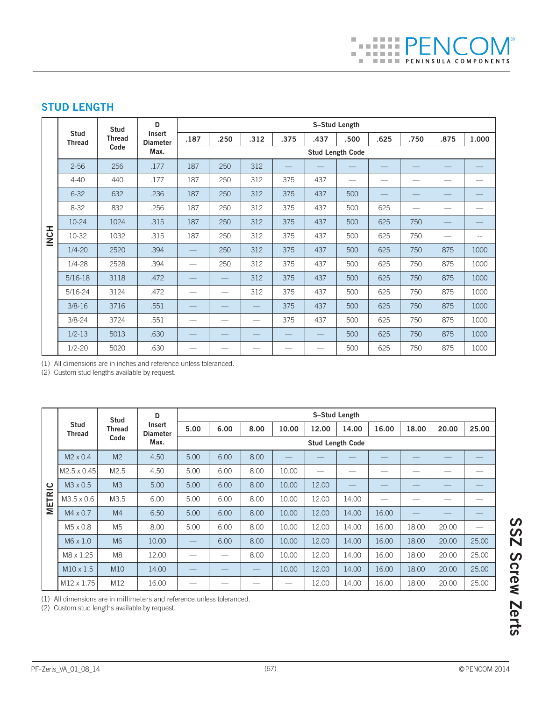# **STUD LENGTH**

|             |                                                                                                                    | <b>Stud</b>   | D                         | S-Stud Length |                          |                          |      |      |      |      |      |      |       |  |  |
|-------------|--------------------------------------------------------------------------------------------------------------------|---------------|---------------------------|---------------|--------------------------|--------------------------|------|------|------|------|------|------|-------|--|--|
|             | <b>Stud</b><br><b>Thread</b>                                                                                       | <b>Thread</b> | Insert<br><b>Diameter</b> | .187          | .250                     | .312                     | .375 | .437 | .500 | .625 | .750 | .875 | 1.000 |  |  |
|             |                                                                                                                    | Code          | Max.                      |               | <b>Stud Length Code</b>  |                          |      |      |      |      |      |      |       |  |  |
|             | $2 - 56$                                                                                                           | 256           | .177                      | 187           | 250                      | 312                      |      |      |      |      |      |      |       |  |  |
|             | $4 - 40$                                                                                                           | 440           | .177                      | 187           | 250                      | 312                      | 375  | 437  |      |      |      |      |       |  |  |
|             | $6 - 32$                                                                                                           | 632           | .236                      | 187           | 250                      | 312                      | 375  | 437  | 500  |      |      |      |       |  |  |
|             | $8 - 32$                                                                                                           | 832           | .256                      | 187           | 250                      | 312                      | 375  | 437  | 500  | 625  | —    |      |       |  |  |
|             | $10 - 24$                                                                                                          | 1024          | .315                      | 187           | 250                      | 312                      | 375  | 437  | 500  | 625  | 750  |      |       |  |  |
| <b>INCH</b> | 10-32                                                                                                              | 1032          | .315                      | 187           | 250                      | 312                      | 375  | 437  | 500  | 625  | 750  |      | --    |  |  |
|             | $1/4 - 20$                                                                                                         | 2520          | .394                      |               | 250                      | 312                      | 375  | 437  | 500  | 625  | 750  | 875  | 1000  |  |  |
|             | $1/4 - 28$                                                                                                         | 2528          | .394                      |               | 250                      | 312                      | 375  | 437  | 500  | 625  | 750  | 875  | 1000  |  |  |
|             | $5/16-18$                                                                                                          | 3118          | .472                      |               |                          | 312                      | 375  | 437  | 500  | 625  | 750  | 875  | 1000  |  |  |
|             | $5/16 - 24$                                                                                                        | 3124          | .472                      | —             | $\overline{\phantom{0}}$ | 312                      | 375  | 437  | 500  | 625  | 750  | 875  | 1000  |  |  |
|             | $3/8 - 16$                                                                                                         | 3716          | .551                      |               |                          |                          | 375  | 437  | 500  | 625  | 750  | 875  | 1000  |  |  |
|             | $3/8 - 24$                                                                                                         | 3724          | .551                      |               |                          |                          | 375  | 437  | 500  | 625  | 750  | 875  | 1000  |  |  |
|             | $1/2 - 13$                                                                                                         | 5013          | .630                      |               |                          |                          |      |      | 500  | 625  | 750  | 875  | 1000  |  |  |
|             | $1/2 - 20$                                                                                                         | 5020          | .630                      |               |                          | $\overline{\phantom{0}}$ |      |      | 500  | 625  | 750  | 875  | 1000  |  |  |
|             | (1) All dimensions are in inches and reference unless toleranced.<br>(2) Custom stud lengths available by request. |               |                           |               |                          |                          |      |      |      |      |      |      |       |  |  |

(1) All dimensions are in inches and reference unless toleranced.

|                | <b>Stud</b><br>Thread                                                                                                   | <b>Stud</b><br>Thread<br>Code | D                                 | S-Stud Length           |                          |      |       |       |       |       |       |       |       |  |
|----------------|-------------------------------------------------------------------------------------------------------------------------|-------------------------------|-----------------------------------|-------------------------|--------------------------|------|-------|-------|-------|-------|-------|-------|-------|--|
|                |                                                                                                                         |                               | Insert<br><b>Diameter</b><br>Max. | 5.00                    | 6.00                     | 8.00 | 10.00 | 12.00 | 14.00 | 16.00 | 18.00 | 20.00 | 25.00 |  |
|                |                                                                                                                         |                               |                                   | <b>Stud Length Code</b> |                          |      |       |       |       |       |       |       |       |  |
|                | M2 x 0.4                                                                                                                | M <sub>2</sub>                | 4.50                              | 5.00                    | 6.00                     | 8.00 |       |       |       |       |       |       |       |  |
|                | M2.5 x 0.45                                                                                                             | M2.5                          | 4.50                              | 5.00                    | 6.00                     | 8.00 | 10.00 |       |       |       |       |       |       |  |
| $\overline{c}$ | M3 x 0.5                                                                                                                | M3                            | 5.00                              | 5.00                    | 6.00                     | 8.00 | 10.00 | 12.00 |       |       |       |       |       |  |
| <b>METR</b>    | M3.5 x 0.6                                                                                                              | M3.5                          | 6.00                              | 5.00                    | 6.00                     | 8.00 | 10.00 | 12.00 | 14.00 |       |       |       |       |  |
|                | $M4 \times 0.7$                                                                                                         | M <sub>4</sub>                | 6.50                              | 5.00                    | 6.00                     | 8.00 | 10.00 | 12.00 | 14.00 | 16.00 |       |       |       |  |
|                | M5 x 0.8                                                                                                                | M <sub>5</sub>                | 8.00                              | 5.00                    | 6.00                     | 8.00 | 10.00 | 12.00 | 14.00 | 16.00 | 18.00 | 20.00 |       |  |
|                | M6 x 1.0                                                                                                                | M6                            | 10.00                             |                         | 6.00                     | 8.00 | 10.00 | 12.00 | 14.00 | 16.00 | 18.00 | 20.00 | 25.00 |  |
|                | M8 x 1.25                                                                                                               | M <sub>8</sub>                | 12.00                             |                         | $\overline{\phantom{0}}$ | 8.00 | 10.00 | 12.00 | 14.00 | 16.00 | 18.00 | 20.00 | 25.00 |  |
|                | $M10 \times 1.5$                                                                                                        | M10                           | 14.00                             |                         |                          |      | 10.00 | 12.00 | 14.00 | 16.00 | 18.00 | 20.00 | 25.00 |  |
|                | M12 x 1.75                                                                                                              | M12                           | 16.00                             |                         |                          |      |       | 12.00 | 14.00 | 16.00 | 18.00 | 20.00 | 25.00 |  |
|                | (1) All dimensions are in millimeters and reference unless toleranced.<br>(2) Custom stud lengths available by request. |                               |                                   |                         |                          |      |       |       |       |       |       |       |       |  |

(1) All dimensions are in millimeters and reference unless toleranced.